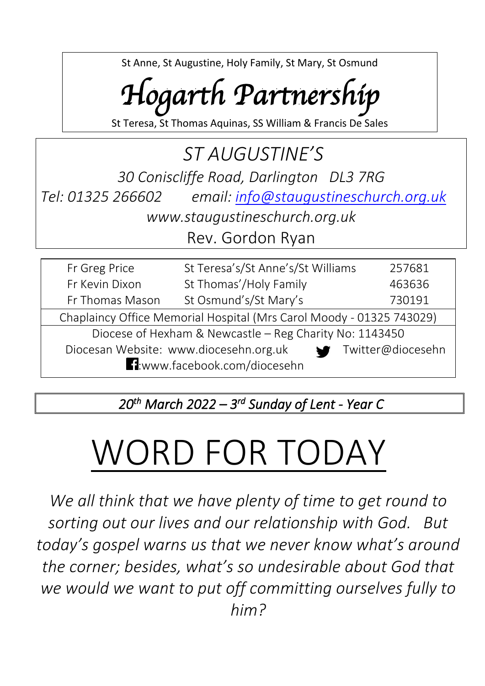St Anne, St Augustine, Holy Family, St Mary, St Osmund

## *Hogarth Partnership*

St Teresa, St Thomas Aquinas, SS William & Francis De Sales

## *ST AUGUSTINE'S 30 Coniscliffe Road, Darlington DL3 7RG Tel: 01325 266602 email: [info@staugustineschurch.org.uk](mailto:info@staugustineschurch.org.uk) www.staugustineschurch.org.uk* Rev. Gordon Ryan

Fr Greg Price St Teresa's/St Anne's/St Williams 257681 Fr Kevin Dixon St Thomas'/Holy Family 463636 Fr Thomas Mason St Osmund's/St Mary's 730191 Chaplaincy Office Memorial Hospital (Mrs Carol Moody - 01325 743029) Diocese of Hexham & Newcastle – Reg Charity No: 1143450 Diocesan Website: www.diocesehn.org.uk Twitter@diocesehn  $\blacksquare$ :www.facebook.com/diocesehn

*20th March 2022 – 3 rd Sunday of Lent - Year C* 

# WORD FOR TODAY

*We all think that we have plenty of time to get round to sorting out our lives and our relationship with God. But today's gospel warns us that we never know what's around the corner; besides, what's so undesirable about God that we would we want to put off committing ourselves fully to him?*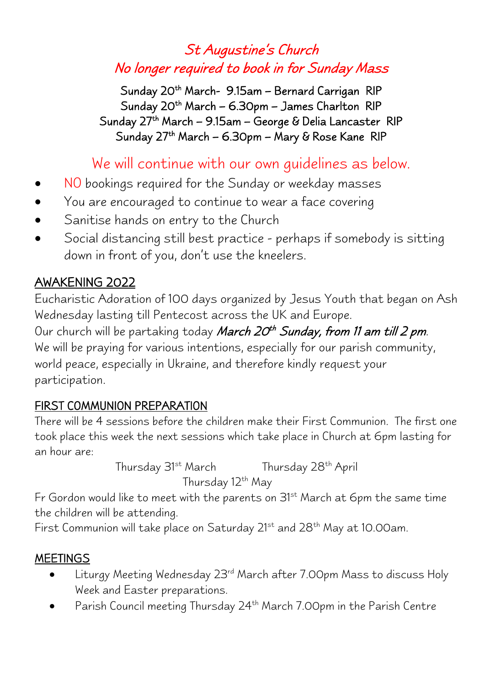## St Augustine's Church No longer required to book in for Sunday Mass

Sunday 20<sup>th</sup> March- 9.15am – Bernard Carrigan RIP Sunday 20<sup>th</sup> March – 6.30pm – James Charlton RIP Sunday 27<sup>th</sup> March – 9.15am – George & Delia Lancaster RIP Sunday 27th March – 6.30pm – Mary & Rose Kane RIP

## We will continue with our own guidelines as below.

- NO bookings required for the Sunday or weekday masses
- You are encouraged to continue to wear a face covering
- Sanitise hands on entry to the Church
- Social distancing still best practice perhaps if somebody is sitting down in front of you, don't use the kneelers.

#### AWAKENING 2022

Eucharistic Adoration of 100 days organized by Jesus Youth that began on Ash Wednesday lasting till Pentecost across the UK and Europe. Our church will be partaking today *March 20<sup>th</sup> Sunday, from 11 am till 2 pm*. We will be praying for various intentions, especially for our parish community,

world peace, especially in Ukraine, and therefore kindly request your participation.

#### FIRST COMMUNION PREPARATION

There will be 4 sessions before the children make their First Communion. The first one took place this week the next sessions which take place in Church at 6pm lasting for an hour are:

Thursday 31<sup>st</sup> March Thursday 28<sup>th</sup> April Thursday 12<sup>th</sup> May

Fr Gordon would like to meet with the parents on 31<sup>st</sup> March at 6pm the same time the children will be attending.

First Communion will take place on Saturday 21<sup>st</sup> and 28<sup>th</sup> May at 10.00am.

#### MEETINGS

- Liturgy Meeting Wednesday 23<sup>rd</sup> March after 7.00pm Mass to discuss Holy Week and Easter preparations.
- Parish Council meeting Thursday 24<sup>th</sup> March 7.00pm in the Parish Centre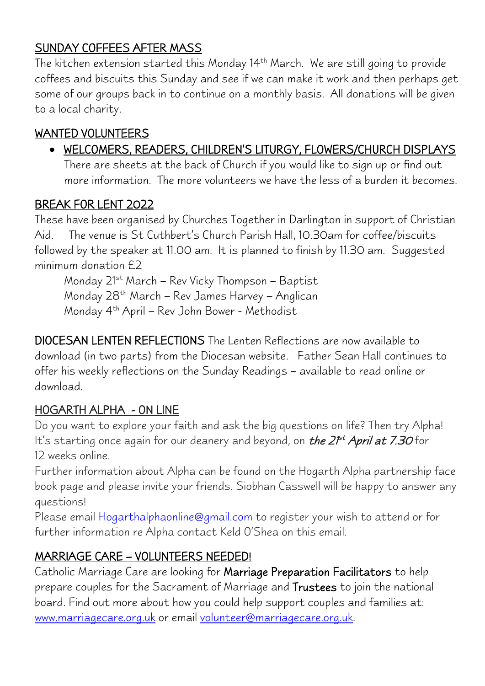#### SUNDAY COFFEES AFTER MASS

The kitchen extension started this Monday 14<sup>th</sup> March. We are still going to provide coffees and biscuits this Sunday and see if we can make it work and then perhaps get some of our groups back in to continue on a monthly basis. All donations will be given to a local charity.

#### WANTED VOLUNTEERS

## • WELCOMERS, READERS, CHILDREN'S LITURGY, FLOWERS/CHURCH DISPLAYS

There are sheets at the back of Church if you would like to sign up or find out more information. The more volunteers we have the less of a burden it becomes.

#### BREAK FOR LENT 2022

These have been organised by Churches Together in Darlington in support of Christian Aid. The venue is St Cuthbert's Church Parish Hall, 10.30am for coffee/biscuits followed by the speaker at 11.00 am. It is planned to finish by 11.30 am. Suggested minimum donation £2

Monday 21st March – Rev Vicky Thompson – Baptist Monday 28th March – Rev James Harvey – Anglican Monday 4th April – Rev John Bower - Methodist

DIOCESAN LENTEN REFLECTIONS The Lenten Reflections are now available to download (in two parts) from the Diocesan website. Father Sean Hall continues to offer his weekly reflections on the Sunday Readings – available to read online or download.

#### HOGARTH ALPHA - ON LINE

Do you want to explore your faith and ask the big questions on life? Then try Alpha! It's starting once again for our deanery and beyond, on *the 2f<sup>st</sup> April at 7.30* for 12 weeks online.

Further information about Alpha can be found on the Hogarth Alpha partnership face book page and please invite your friends. Siobhan Casswell will be happy to answer any questions!

Please email **[Hogarthalphaonline@gmail.com](mailto:Hogarthalphaonline@gmail.com)** to register your wish to attend or for further information re Alpha contact Keld O'Shea on this email.

#### MARRIAGE CARE – VOLUNTEERS NEEDED!

Catholic Marriage Care are looking for Marriage Preparation Facilitators to help prepare couples for the Sacrament of Marriage and Trustees to join the national board. Find out more about how you could help support couples and families at: [www.marriagecare.org.uk](http://www.marriagecare.org.uk/) or email [volunteer@marriagecare.org.uk.](mailto:volunteer@marriagecare.org.uk)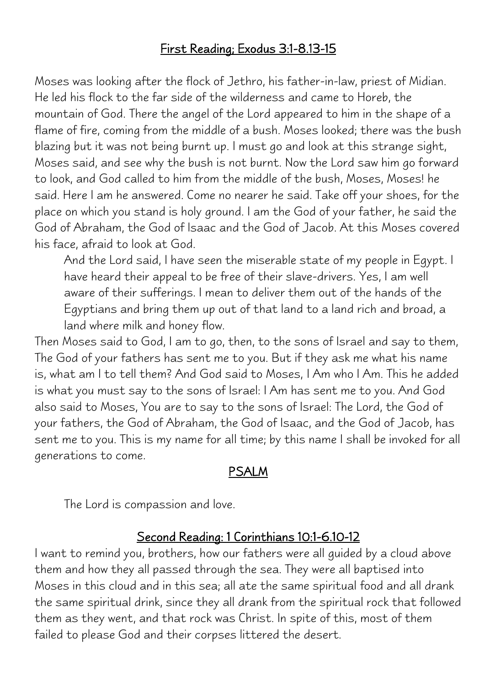#### First Reading; Exodus 3:1-8.13-15

Moses was looking after the flock of Jethro, his father-in-law, priest of Midian. He led his flock to the far side of the wilderness and came to Horeb, the mountain of God. There the angel of the Lord appeared to him in the shape of a flame of fire, coming from the middle of a bush. Moses looked; there was the bush blazing but it was not being burnt up. I must go and look at this strange sight, Moses said, and see why the bush is not burnt. Now the Lord saw him go forward to look, and God called to him from the middle of the bush, Moses, Moses! he said. Here I am he answered. Come no nearer he said. Take off your shoes, for the place on which you stand is holy ground. I am the God of your father, he said the God of Abraham, the God of Isaac and the God of Jacob. At this Moses covered his face, afraid to look at God.

And the Lord said, I have seen the miserable state of my people in Egypt. I have heard their appeal to be free of their slave-drivers. Yes, I am well aware of their sufferings. I mean to deliver them out of the hands of the Egyptians and bring them up out of that land to a land rich and broad, a land where milk and honey flow.

Then Moses said to God, I am to go, then, to the sons of Israel and say to them, The God of your fathers has sent me to you. But if they ask me what his name is, what am I to tell them? And God said to Moses, I Am who I Am. This he added is what you must say to the sons of Israel: I Am has sent me to you. And God also said to Moses, You are to say to the sons of Israel: The Lord, the God of your fathers, the God of Abraham, the God of Isaac, and the God of Jacob, has sent me to you. This is my name for all time; by this name I shall be invoked for all generations to come.

#### PSALM

The Lord is compassion and love.

#### Second Reading: 1 Corinthians 10:1-6.10-12

I want to remind you, brothers, how our fathers were all guided by a cloud above them and how they all passed through the sea. They were all baptised into Moses in this cloud and in this sea; all ate the same spiritual food and all drank the same spiritual drink, since they all drank from the spiritual rock that followed them as they went, and that rock was Christ. In spite of this, most of them failed to please God and their corpses littered the desert.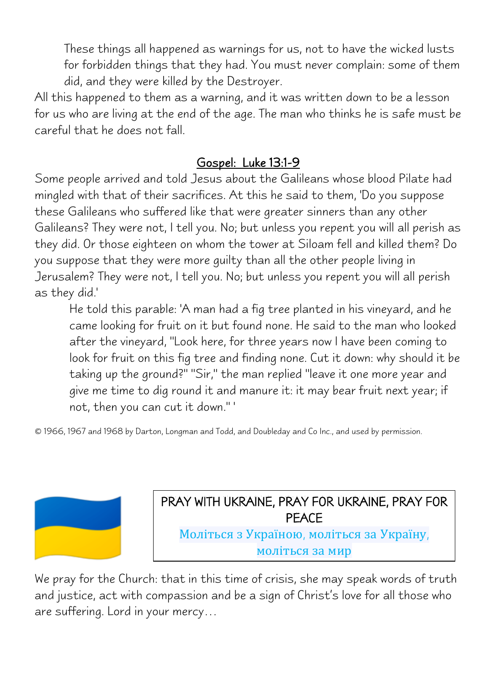These things all happened as warnings for us, not to have the wicked lusts for forbidden things that they had. You must never complain: some of them did, and they were killed by the Destroyer.

All this happened to them as a warning, and it was written down to be a lesson for us who are living at the end of the age. The man who thinks he is safe must be careful that he does not fall.

#### Gospel: Luke 13:1-9

Some people arrived and told Jesus about the Galileans whose blood Pilate had mingled with that of their sacrifices. At this he said to them, 'Do you suppose these Galileans who suffered like that were greater sinners than any other Galileans? They were not, I tell you. No; but unless you repent you will all perish as they did. Or those eighteen on whom the tower at Siloam fell and killed them? Do you suppose that they were more guilty than all the other people living in Jerusalem? They were not, I tell you. No; but unless you repent you will all perish as they did.'

He told this parable: 'A man had a fig tree planted in his vineyard, and he came looking for fruit on it but found none. He said to the man who looked after the vineyard, "Look here, for three years now I have been coming to look for fruit on this fig tree and finding none. Cut it down: why should it be taking up the ground?" "Sir," the man replied "leave it one more year and give me time to dig round it and manure it: it may bear fruit next year; if not, then you can cut it down." '

© 1966, 1967 and 1968 by Darton, Longman and Todd, and Doubleday and Co Inc., and used by permission.



## PRAY WITH UKRAINE, PRAY FOR UKRAINE, PRAY FOR PEACE

Моліться з Україною, моліться за Україну, моліться за мир

We pray for the Church: that in this time of crisis, she may speak words of truth and justice, act with compassion and be a sign of Christ's love for all those who are suffering. Lord in your mercy…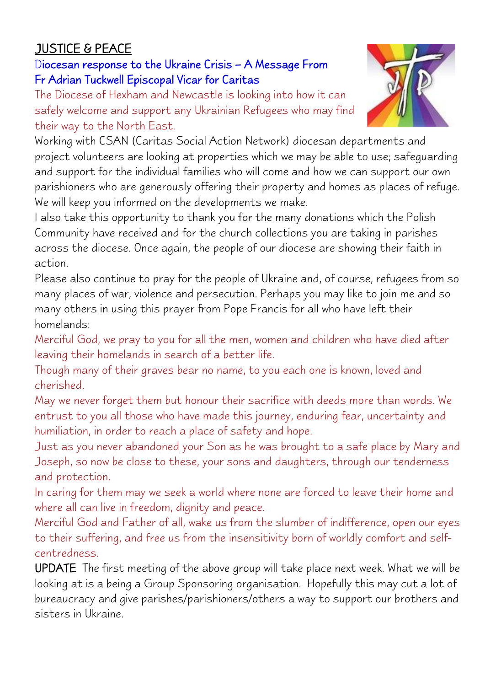### JUSTICE & PEACE

#### Diocesan response to the Ukraine Crisis – A Message From Fr Adrian Tuckwell Episcopal Vicar for Caritas

The Diocese of Hexham and Newcastle is looking into how it can safely welcome and support any Ukrainian Refugees who may find their way to the North East.

Working with CSAN (Caritas Social Action Network) diocesan departments and project volunteers are looking at properties which we may be able to use; safeguarding and support for the individual families who will come and how we can support our own parishioners who are generously offering their property and homes as places of refuge. We will keep you informed on the developments we make.

I also take this opportunity to thank you for the many donations which the Polish Community have received and for the church collections you are taking in parishes across the diocese. Once again, the people of our diocese are showing their faith in action.

Please also continue to pray for the people of Ukraine and, of course, refugees from so many places of war, violence and persecution. Perhaps you may like to join me and so many others in using this prayer from Pope Francis for all who have left their homelands:

Merciful God, we pray to you for all the men, women and children who have died after leaving their homelands in search of a better life.

Though many of their graves bear no name, to you each one is known, loved and cherished.

May we never forget them but honour their sacrifice with deeds more than words. We entrust to you all those who have made this journey, enduring fear, uncertainty and humiliation, in order to reach a place of safety and hope.

Just as you never abandoned your Son as he was brought to a safe place by Mary and Joseph, so now be close to these, your sons and daughters, through our tenderness and protection.

In caring for them may we seek a world where none are forced to leave their home and where all can live in freedom, dignity and peace.

Merciful God and Father of all, wake us from the slumber of indifference, open our eyes to their suffering, and free us from the insensitivity born of worldly comfort and selfcentredness.

UPDATE The first meeting of the above group will take place next week. What we will be looking at is a being a Group Sponsoring organisation. Hopefully this may cut a lot of bureaucracy and give parishes/parishioners/others a way to support our brothers and sisters in Ukraine.

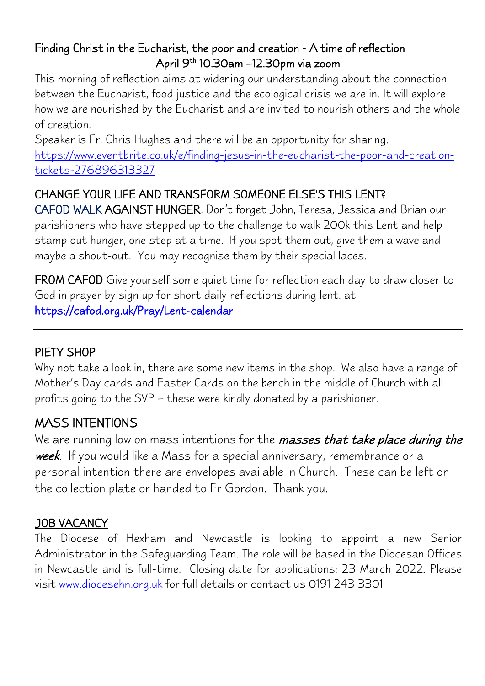#### Finding Christ in the Eucharist, the poor and creation - A time of reflection April 9<sup>th</sup> 10.30am –12.30pm via zoom

This morning of reflection aims at widening our understanding about the connection between the Eucharist, food justice and the ecological crisis we are in. It will explore how we are nourished by the Eucharist and are invited to nourish others and the whole of creation.

Speaker is Fr. Chris Hughes and there will be an opportunity for sharing. [https://www.eventbrite.co.uk/e/finding-jesus-in-the-eucharist-the-poor-and-creation](https://www.eventbrite.co.uk/e/finding-jesus-in-the-eucharist-the-poor-and-creation-tickets-276896313327)[tickets-276896313327](https://www.eventbrite.co.uk/e/finding-jesus-in-the-eucharist-the-poor-and-creation-tickets-276896313327)

#### CHANGE YOUR LIFE AND TRANSFORM SOMEONE ELSE'S THIS LENT?

CAFOD WALK AGAINST HUNGER. Don't forget John, Teresa, Jessica and Brian our parishioners who have stepped up to the challenge to walk 200k this Lent and help stamp out hunger, one step at a time. If you spot them out, give them a wave and maybe a shout-out. You may recognise them by their special laces.

FROM CAFOD Give yourself some quiet time for reflection each day to draw closer to God in prayer by sign up for short daily reflections during lent. at <https://cafod.org.uk/Pray/Lent-calendar>

#### PIETY SHOP

Why not take a look in, there are some new items in the shop. We also have a range of Mother's Day cards and Easter Cards on the bench in the middle of Church with all profits going to the SVP – these were kindly donated by a parishioner.

#### MASS INTENTIONS

We are running low on mass intentions for the masses that take place during the week. If you would like a Mass for a special anniversary, remembrance or a personal intention there are envelopes available in Church. These can be left on the collection plate or handed to Fr Gordon. Thank you.

#### JOB VACANCY

The Diocese of Hexham and Newcastle is looking to appoint a new Senior Administrator in the Safeguarding Team. The role will be based in the Diocesan Offices in Newcastle and is full-time. Closing date for applications: 23 March 2022. Please visit [www.diocesehn.org.uk](http://www.diocesehn.org.uk/) for full details or contact us 0191 243 3301